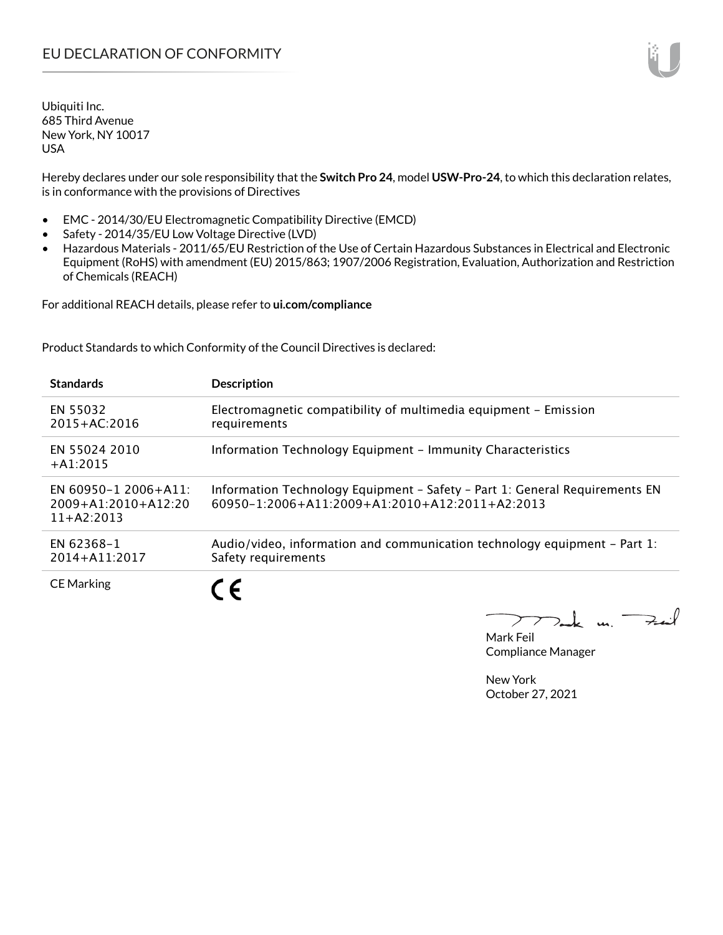Hereby declares under our sole responsibility that the **Switch Pro 24**, model **USW-Pro-24**, to which this declaration relates, is in conformance with the provisions of Directives

- EMC 2014/30/EU Electromagnetic Compatibility Directive (EMCD)
- Safety 2014/35/EU Low Voltage Directive (LVD)
- Hazardous Materials 2011/65/EU Restriction of the Use of Certain Hazardous Substances in Electrical and Electronic Equipment (RoHS) with amendment (EU) 2015/863; 1907/2006 Registration, Evaluation, Authorization and Restriction of Chemicals (REACH)

For additional REACH details, please refer to **ui.com/compliance**

Product Standards to which Conformity of the Council Directives is declared:

| <b>Standards</b>                                                  | <b>Description</b>                                                                                                                   |
|-------------------------------------------------------------------|--------------------------------------------------------------------------------------------------------------------------------------|
| EN 55032<br>$2015 + AC:2016$                                      | Electromagnetic compatibility of multimedia equipment - Emission<br>requirements                                                     |
| EN 55024 2010<br>$+A1:2015$                                       | Information Technology Equipment - Immunity Characteristics                                                                          |
| EN 60950-1 2006+A11:<br>$2009 + A1:2010 + A12:20$<br>$11+AA:2013$ | Information Technology Equipment - Safety - Part 1: General Requirements EN<br>$60950 - 12006 + A112009 + A12010 + A122011 + A22013$ |
| EN 62368-1<br>$2014 + A11:2017$                                   | Audio/video, information and communication technology equipment – Part 1:<br>Safety requirements                                     |
| <b>CE Marking</b>                                                 |                                                                                                                                      |

 $k$  un  $\rightarrow$  $\overline{\phantom{a}}$ 

Mark Feil Compliance Manager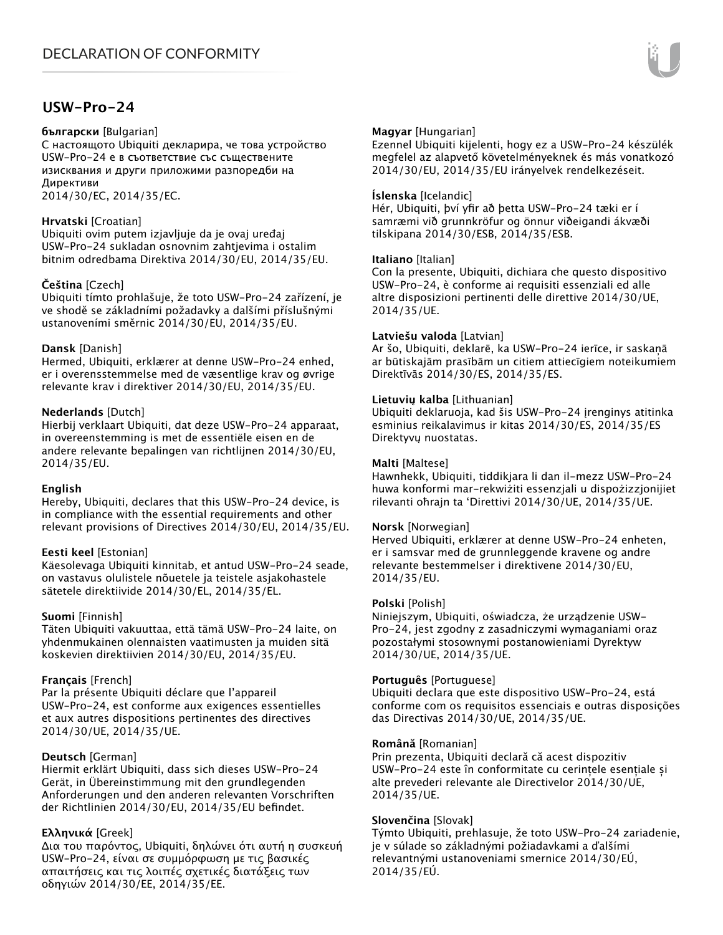# **USW-Pro-24**

#### **български** [Bulgarian]

С настоящото Ubiquiti декларира, че това устройство USW-Pro-24 е в съответствие със съществените изисквания и други приложими разпоредби на Директиви

2014/30/ЕС, 2014/35/ЕС.

# **Hrvatski** [Croatian]

Ubiquiti ovim putem izjavljuje da je ovaj uređaj USW-Pro-24 sukladan osnovnim zahtjevima i ostalim bitnim odredbama Direktiva 2014/30/EU, 2014/35/EU.

# **Čeština** [Czech]

Ubiquiti tímto prohlašuje, že toto USW-Pro-24 zařízení, je ve shodě se základními požadavky a dalšími příslušnými ustanoveními směrnic 2014/30/EU, 2014/35/EU.

# **Dansk** [Danish]

Hermed, Ubiquiti, erklærer at denne USW-Pro-24 enhed, er i overensstemmelse med de væsentlige krav og øvrige relevante krav i direktiver 2014/30/EU, 2014/35/EU.

# **Nederlands** [Dutch]

Hierbij verklaart Ubiquiti, dat deze USW-Pro-24 apparaat, in overeenstemming is met de essentiële eisen en de andere relevante bepalingen van richtlijnen 2014/30/EU, 2014/35/EU.

# **English**

Hereby, Ubiquiti, declares that this USW-Pro-24 device, is in compliance with the essential requirements and other relevant provisions of Directives 2014/30/EU, 2014/35/EU.

# **Eesti keel** [Estonian]

Käesolevaga Ubiquiti kinnitab, et antud USW-Pro-24 seade, on vastavus olulistele nõuetele ja teistele asjakohastele sätetele direktiivide 2014/30/EL, 2014/35/EL.

# **Suomi** [Finnish]

Täten Ubiquiti vakuuttaa, että tämä USW-Pro-24 laite, on yhdenmukainen olennaisten vaatimusten ja muiden sitä koskevien direktiivien 2014/30/EU, 2014/35/EU.

# **Français** [French]

Par la présente Ubiquiti déclare que l'appareil USW-Pro-24, est conforme aux exigences essentielles et aux autres dispositions pertinentes des directives 2014/30/UE, 2014/35/UE.

# **Deutsch** [German]

Hiermit erklärt Ubiquiti, dass sich dieses USW-Pro-24 Gerät, in Übereinstimmung mit den grundlegenden Anforderungen und den anderen relevanten Vorschriften der Richtlinien 2014/30/EU, 2014/35/EU befindet.

# **Ελληνικά** [Greek]

Δια του παρόντος, Ubiquiti, δηλώνει ότι αυτή η συσκευή USW-Pro-24, είναι σε συμμόρφωση με τις βασικές απαιτήσεις και τις λοιπές σχετικές διατάξεις των οδηγιών 2014/30/EE, 2014/35/EE.

# **Magyar** [Hungarian]

Ezennel Ubiquiti kijelenti, hogy ez a USW-Pro-24 készülék megfelel az alapvető követelményeknek és más vonatkozó 2014/30/EU, 2014/35/EU irányelvek rendelkezéseit.

#### **Íslenska** [Icelandic]

Hér, Ubiquiti, því yfir að þetta USW-Pro-24 tæki er í samræmi við grunnkröfur og önnur viðeigandi ákvæði tilskipana 2014/30/ESB, 2014/35/ESB.

#### **Italiano** [Italian]

Con la presente, Ubiquiti, dichiara che questo dispositivo USW-Pro-24, è conforme ai requisiti essenziali ed alle altre disposizioni pertinenti delle direttive 2014/30/UE, 2014/35/UE.

#### **Latviešu valoda** [Latvian]

Ar šo, Ubiquiti, deklarē, ka USW-Pro-24 ierīce, ir saskaņā ar būtiskajām prasībām un citiem attiecīgiem noteikumiem Direktīvās 2014/30/ES, 2014/35/ES.

#### **Lietuvių kalba** [Lithuanian]

Ubiquiti deklaruoja, kad šis USW-Pro-24 įrenginys atitinka esminius reikalavimus ir kitas 2014/30/ES, 2014/35/ES Direktyvų nuostatas.

#### **Malti** [Maltese]

Hawnhekk, Ubiquiti, tiddikjara li dan il-mezz USW-Pro-24 huwa konformi mar-rekwiżiti essenzjali u dispożizzjonijiet rilevanti oħrajn ta 'Direttivi 2014/30/UE, 2014/35/UE.

#### **Norsk** [Norwegian]

Herved Ubiquiti, erklærer at denne USW-Pro-24 enheten, er i samsvar med de grunnleggende kravene og andre relevante bestemmelser i direktivene 2014/30/EU, 2014/35/EU.

#### **Polski** [Polish]

Niniejszym, Ubiquiti, oświadcza, że urządzenie USW-Pro-24, jest zgodny z zasadniczymi wymaganiami oraz pozostałymi stosownymi postanowieniami Dyrektyw 2014/30/UE, 2014/35/UE.

#### **Português** [Portuguese]

Ubiquiti declara que este dispositivo USW-Pro-24, está conforme com os requisitos essenciais e outras disposições das Directivas 2014/30/UE, 2014/35/UE.

#### **Română** [Romanian]

Prin prezenta, Ubiquiti declară că acest dispozitiv USW-Pro-24 este în conformitate cu cerințele esențiale și alte prevederi relevante ale Directivelor 2014/30/UE, 2014/35/UE.

# **Slovenčina** [Slovak]

Týmto Ubiquiti, prehlasuje, že toto USW-Pro-24 zariadenie, je v súlade so základnými požiadavkami a ďalšími relevantnými ustanoveniami smernice 2014/30/EÚ, 2014/35/EÚ.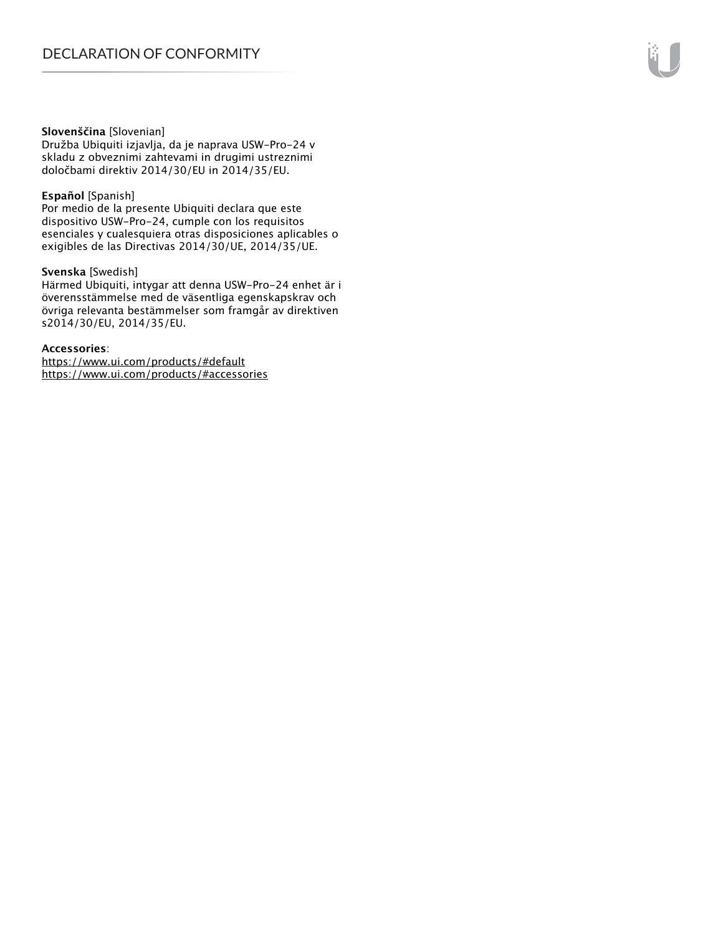#### **Slovenščina** [Slovenian]

Družba Ubiquiti izjavlja, da je naprava USW-Pro-24 v skladu z obveznimi zahtevami in drugimi ustreznimi določbami direktiv 2014/30/EU in 2014/35/EU.

#### **Español** [Spanish]

Por medio de la presente Ubiquiti declara que este dispositivo USW-Pro-24, cumple con los requisitos esenciales y cualesquiera otras disposiciones aplicables o exigibles de las Directivas 2014/30/UE, 2014/35/UE.

#### **Svenska** [Swedish]

Härmed Ubiquiti, intygar att denna USW-Pro-24 enhet är i överensstämmelse med de väsentliga egenskapskrav och övriga relevanta bestämmelser som framgår av direktiven s2014/30/EU, 2014/35/EU.

#### **Accessories**:

https://www.ui.com/products/#default https://www.ui.com/products/#accessories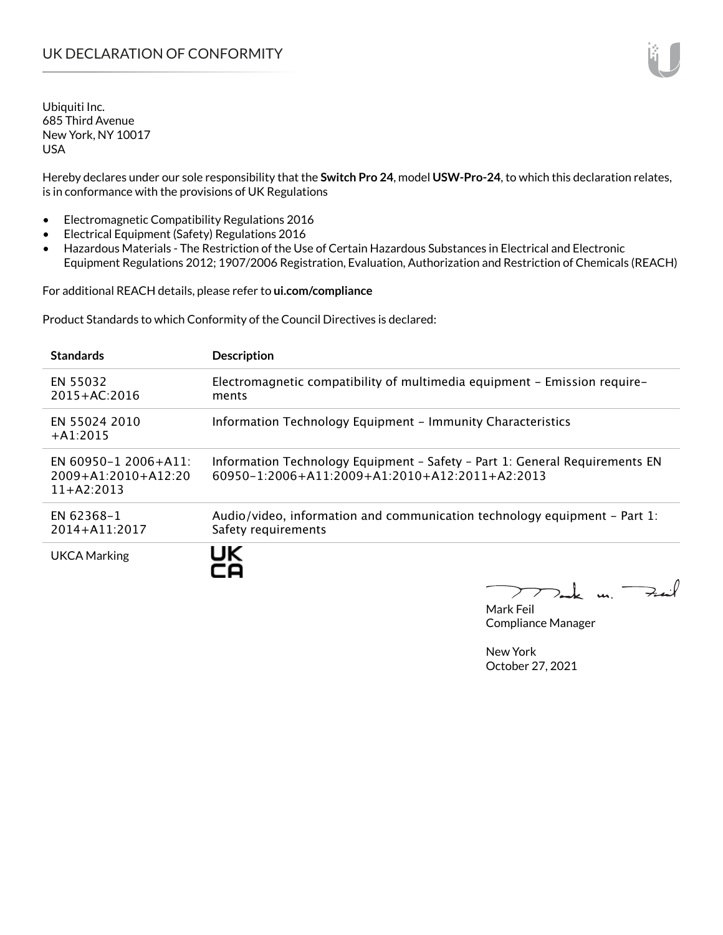Hereby declares under our sole responsibility that the **Switch Pro 24**, model **USW-Pro-24**, to which this declaration relates, is in conformance with the provisions of UK Regulations

- Electromagnetic Compatibility Regulations 2016
- Electrical Equipment (Safety) Regulations 2016
- Hazardous Materials The Restriction of the Use of Certain Hazardous Substances in Electrical and Electronic Equipment Regulations 2012; 1907/2006 Registration, Evaluation, Authorization and Restriction of Chemicals (REACH)

For additional REACH details, please refer to **ui.com/compliance**

Product Standards to which Conformity of the Council Directives is declared:

| <b>Standards</b>                                            | <b>Description</b>                                                                                                                        |
|-------------------------------------------------------------|-------------------------------------------------------------------------------------------------------------------------------------------|
| EN 55032<br>2015+AC:2016                                    | Electromagnetic compatibility of multimedia equipment - Emission require-<br>ments                                                        |
| EN 55024 2010<br>$+A1:2015$                                 | Information Technology Equipment - Immunity Characteristics                                                                               |
| EN 60950-1 2006+A11:<br>2009+A1:2010+A12:20<br>$11+AA:2013$ | Information Technology Equipment - Safety - Part 1: General Requirements EN<br>$60950 - 1:2006 + A11:2009 + A1:2010 + A12:2011 + A2:2013$ |
| EN 62368-1<br>2014+A11:2017                                 | Audio/video, information and communication technology equipment – Part 1:<br>Safety requirements                                          |
| <b>UKCA Marking</b>                                         | UK                                                                                                                                        |

I Dank un.  $+...$ 

Mark Feil Compliance Manager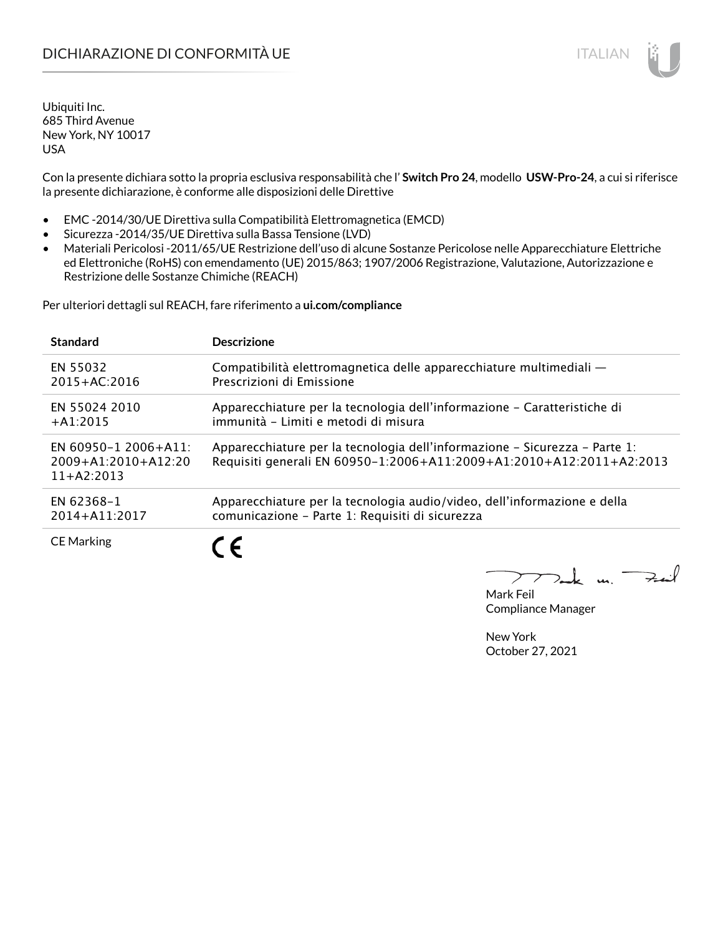Con la presente dichiara sotto la propria esclusiva responsabilità che l' **Switch Pro 24**, modello **USW-Pro-24**, a cui si riferisce la presente dichiarazione, è conforme alle disposizioni delle Direttive

- EMC -2014/30/UE Direttiva sulla Compatibilità Elettromagnetica (EMCD)
- Sicurezza -2014/35/UE Direttiva sulla Bassa Tensione (LVD)
- Materiali Pericolosi -2011/65/UE Restrizione dell'uso di alcune Sostanze Pericolose nelle Apparecchiature Elettriche ed Elettroniche (RoHS) con emendamento (UE) 2015/863; 1907/2006 Registrazione, Valutazione, Autorizzazione e Restrizione delle Sostanze Chimiche (REACH)

Per ulteriori dettagli sul REACH, fare riferimento a **ui.com/compliance**

| <b>Standard</b>                                                   | <b>Descrizione</b>                                                                                                                                 |
|-------------------------------------------------------------------|----------------------------------------------------------------------------------------------------------------------------------------------------|
| EN 55032                                                          | Compatibilità elettromagnetica delle apparecchiature multimediali —                                                                                |
| $2015 + AC:2016$                                                  | Prescrizioni di Emissione                                                                                                                          |
| EN 55024 2010                                                     | Apparecchiature per la tecnologia dell'informazione – Caratteristiche di                                                                           |
| $+A1:2015$                                                        | immunità - Limiti e metodi di misura                                                                                                               |
| EN 60950-1 2006+A11:<br>$2009 + A1:2010 + A12:20$<br>$11+42:2013$ | Apparecchiature per la tecnologia dell'informazione – Sicurezza – Parte 1:<br>Requisiti generali EN 60950-1:2006+A11:2009+A1:2010+A12:2011+A2:2013 |
| EN 62368-1                                                        | Apparecchiature per la tecnologia audio/video, dell'informazione e della                                                                           |
| 2014+A11:2017                                                     | comunicazione - Parte 1: Requisiti di sicurezza                                                                                                    |
| <b>CE Marking</b>                                                 | $\epsilon$                                                                                                                                         |

كمنعة m. <sup>-</sup>

Mark Feil Compliance Manager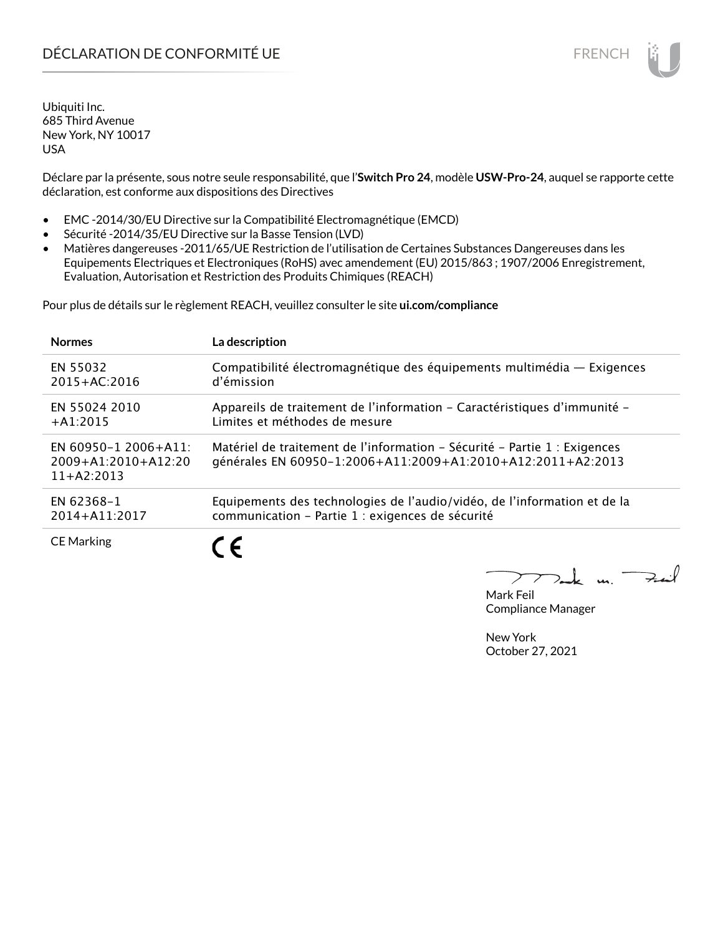Déclare par la présente, sous notre seule responsabilité, que l'**Switch Pro 24**, modèle **USW-Pro-24**, auquel se rapporte cette déclaration, est conforme aux dispositions des Directives

- EMC -2014/30/EU Directive sur la Compatibilité Electromagnétique (EMCD)
- Sécurité -2014/35/EU Directive sur la Basse Tension (LVD)
- Matières dangereuses -2011/65/UE Restriction de l'utilisation de Certaines Substances Dangereuses dans les Equipements Electriques et Electroniques (RoHS) avec amendement (EU) 2015/863 ; 1907/2006 Enregistrement, Evaluation, Autorisation et Restriction des Produits Chimiques (REACH)

Pour plus de détails sur le règlement REACH, veuillez consulter le site **ui.com/compliance**

| <b>Normes</b>                                                 | La description                                                                                                                           |
|---------------------------------------------------------------|------------------------------------------------------------------------------------------------------------------------------------------|
| EN 55032                                                      | Compatibilité électromagnétique des équipements multimédia - Exigences                                                                   |
| $2015 + AC:2016$                                              | d'émission                                                                                                                               |
| EN 55024 2010                                                 | Appareils de traitement de l'information – Caractéristiques d'immunité –                                                                 |
| $+$ A1:2015                                                   | Limites et méthodes de mesure                                                                                                            |
| EN 60950-1 2006+A11:<br>$2009+A1:2010+A12:20$<br>$11+42:2013$ | Matériel de traitement de l'information - Sécurité - Partie 1 : Exigences<br>générales EN 60950-1:2006+A11:2009+A1:2010+A12:2011+A2:2013 |
| EN 62368-1                                                    | Equipements des technologies de l'audio/vidéo, de l'information et de la                                                                 |
| 2014+A11:2017                                                 | communication - Partie 1 : exigences de sécurité                                                                                         |
| <b>CE Marking</b>                                             | ╺                                                                                                                                        |

 $\overline{\mathbf{u}}$ 

Mark Feil Compliance Manager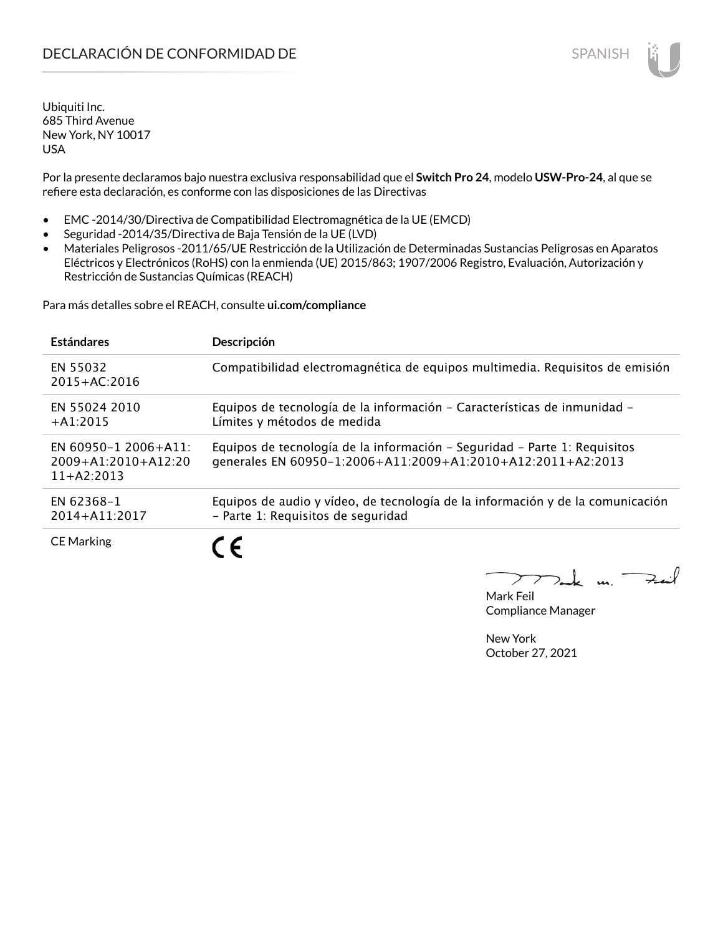Por la presente declaramos bajo nuestra exclusiva responsabilidad que el **Switch Pro 24**, modelo **USW-Pro-24**, al que se refiere esta declaración, es conforme con las disposiciones de las Directivas

- EMC -2014/30/Directiva de Compatibilidad Electromagnética de la UE (EMCD)
- Seguridad -2014/35/Directiva de Baja Tensión de la UE (LVD)
- Materiales Peligrosos -2011/65/UE Restricción de la Utilización de Determinadas Sustancias Peligrosas en Aparatos Eléctricos y Electrónicos (RoHS) con la enmienda (UE) 2015/863; 1907/2006 Registro, Evaluación, Autorización y Restricción de Sustancias Químicas (REACH)

Para más detalles sobre el REACH, consulte **ui.com/compliance**

| <b>Estándares</b>                                                 | Descripción                                                                                                                              |
|-------------------------------------------------------------------|------------------------------------------------------------------------------------------------------------------------------------------|
| EN 55032<br>$2015 + AC:2016$                                      | Compatibilidad electromagnética de equipos multimedia. Requisitos de emisión                                                             |
| EN 55024 2010<br>$+A1:2015$                                       | Equipos de tecnología de la información - Características de inmunidad -<br>Límites y métodos de medida                                  |
| EN 60950-1 2006+A11:<br>$2009 + A1:2010 + A12:20$<br>$11+42:2013$ | Equipos de tecnología de la información – Seguridad – Parte 1: Requisitos<br>generales EN 60950-1:2006+A11:2009+A1:2010+A12:2011+A2:2013 |
| EN 62368-1<br>2014+A11:2017                                       | Equipos de audio y vídeo, de tecnología de la información y de la comunicación<br>- Parte 1: Requisitos de seguridad                     |
| <b>CE Marking</b>                                                 | $\epsilon$                                                                                                                               |

m. Fail

Mark Feil Compliance Manager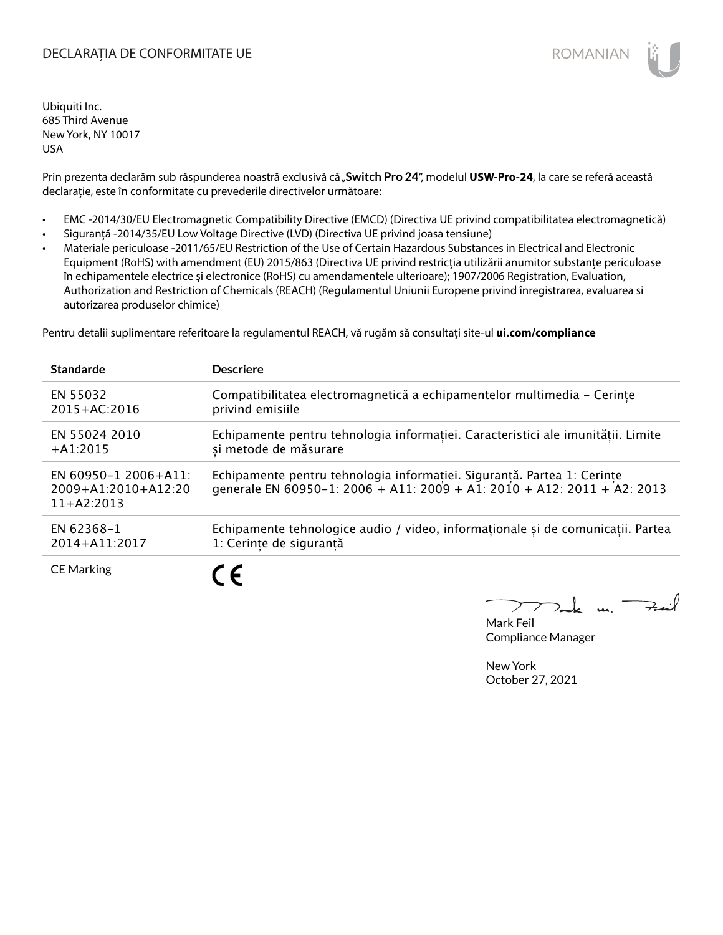# DECLARAȚIA DE CONFORMITATE UE EXECUTE DE ROMANIAN

Ubiquiti Inc. 685 Third Avenue New York, NY 10017 USA

Prin prezenta declarăm sub răspunderea noastră exclusivă că "Switch Pro 24", modelul USW-Pro-24, la care se referă această declarație, este în conformitate cu prevederile directivelor următoare:

- EMC -2014/30/EU Electromagnetic Compatibility Directive (EMCD) (Directiva UE privind compatibilitatea electromagnetică)
- Siguranță -2014/35/EU Low Voltage Directive (LVD) (Directiva UE privind joasa tensiune)
- Materiale periculoase -2011/65/EU Restriction of the Use of Certain Hazardous Substances in Electrical and Electronic Equipment (RoHS) with amendment (EU) 2015/863 (Directiva UE privind restricția utilizării anumitor substanțe periculoase în echipamentele electrice și electronice (RoHS) cu amendamentele ulterioare); 1907/2006 Registration, Evaluation, Authorization and Restriction of Chemicals (REACH) (Regulamentul Uniunii Europene privind înregistrarea, evaluarea si autorizarea produselor chimice)

Pentru detalii suplimentare referitoare la regulamentul REACH, vă rugăm să consultați site-ul **ui.com/compliance**

| <b>Standarde</b>                                              | <b>Descriere</b>                                                                                                                                   |
|---------------------------------------------------------------|----------------------------------------------------------------------------------------------------------------------------------------------------|
| EN 55032                                                      | Compatibilitatea electromagnetică a echipamentelor multimedia - Cerinte                                                                            |
| $2015 + AC:2016$                                              | privind emisiile                                                                                                                                   |
| EN 55024 2010                                                 | Echipamente pentru tehnologia informatiei. Caracteristici ale imunitătii. Limite                                                                   |
| $+A1:2015$                                                    | si metode de măsurare                                                                                                                              |
| EN 60950-1 2006+A11:<br>$2009+A1:2010+A12:20$<br>$11+AA:2013$ | Echipamente pentru tehnologia informației. Siguranță. Partea 1: Cerințe<br>generale EN 60950-1: 2006 + A11: 2009 + A1: 2010 + A12: 2011 + A2: 2013 |
| EN 62368-1                                                    | Echipamente tehnologice audio / video, informaționale și de comunicații. Partea                                                                    |
| 2014+A11:2017                                                 | 1: Cerinte de sigurantă                                                                                                                            |
| <b>CE Marking</b>                                             | $\epsilon$                                                                                                                                         |

. m. <sup>-</sup>

Mark Feil Compliance Manager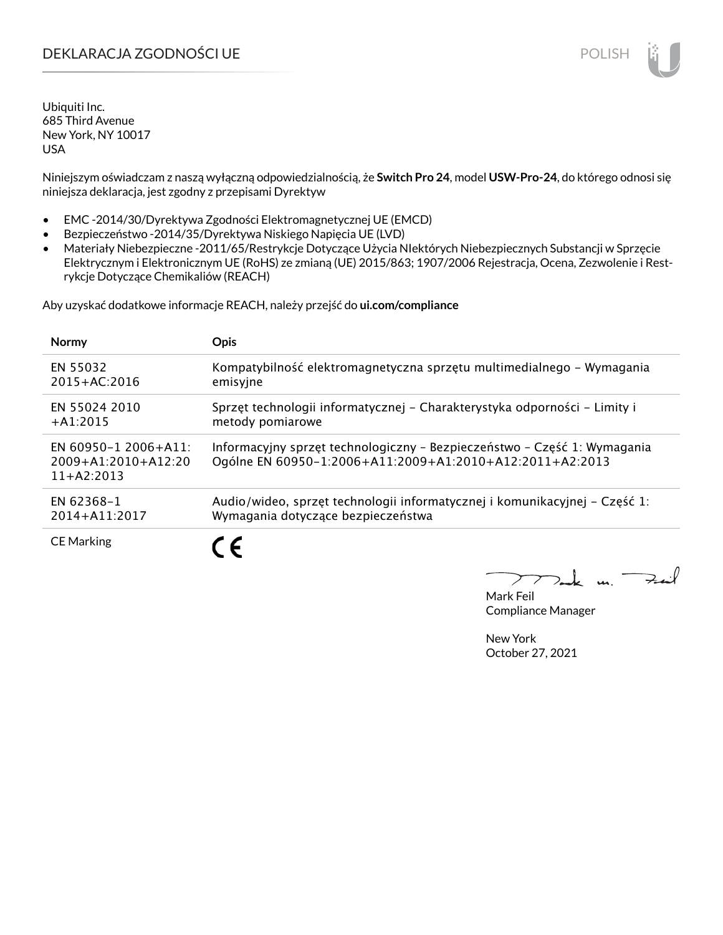# DEKLARACJA ZGODNOŚCI UE POLISH POLISH

Ubiquiti Inc. 685 Third Avenue New York, NY 10017 USA

Niniejszym oświadczam z naszą wyłączną odpowiedzialnością, że **Switch Pro 24**, model **USW-Pro-24**, do którego odnosi się niniejsza deklaracja, jest zgodny z przepisami Dyrektyw

- EMC -2014/30/Dyrektywa Zgodności Elektromagnetycznej UE (EMCD)
- Bezpieczeństwo -2014/35/Dyrektywa Niskiego Napięcia UE (LVD)
- Materiały Niebezpieczne -2011/65/Restrykcje Dotyczące Użycia NIektórych Niebezpiecznych Substancji w Sprzęcie Elektrycznym i Elektronicznym UE (RoHS) ze zmianą (UE) 2015/863; 1907/2006 Rejestracja, Ocena, Zezwolenie i Restrykcje Dotyczące Chemikaliów (REACH)

Aby uzyskać dodatkowe informacje REACH, należy przejść do **ui.com/compliance**

| <b>Normy</b>                                                      | <b>Opis</b>                                                                                                                          |
|-------------------------------------------------------------------|--------------------------------------------------------------------------------------------------------------------------------------|
| EN 55032                                                          | Kompatybilność elektromagnetyczna sprzętu multimedialnego – Wymagania                                                                |
| $2015 + AC:2016$                                                  | emisyjne                                                                                                                             |
| EN 55024 2010                                                     | Sprzęt technologii informatycznej – Charakterystyka odporności – Limity i                                                            |
| $+A1:2015$                                                        | metody pomiarowe                                                                                                                     |
| EN 60950-1 2006+A11:<br>$2009 + A1:2010 + A12:20$<br>$11+AA:2013$ | Informacyjny sprzęt technologiczny - Bezpieczeństwo - Część 1: Wymagania<br>Ogólne EN 60950-1:2006+A11:2009+A1:2010+A12:2011+A2:2013 |
| EN 62368-1                                                        | Audio/wideo, sprzęt technologii informatycznej i komunikacyjnej – Część 1:                                                           |
| 2014+A11:2017                                                     | Wymagania dotyczące bezpieczeństwa                                                                                                   |
| <b>CE Marking</b>                                                 |                                                                                                                                      |

Mark Feil Compliance Manager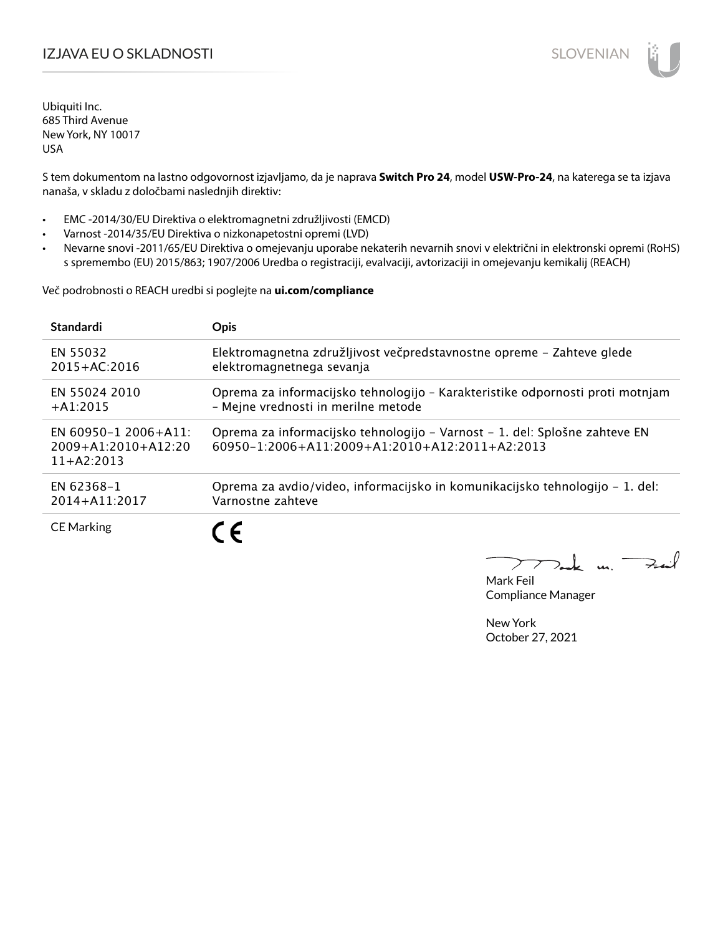# IZJAVA EU O SKLADNOSTI SLOVENIAN

Ubiquiti Inc. 685 Third Avenue New York, NY 10017 USA

S tem dokumentom na lastno odgovornost izjavljamo, da je naprava **Switch Pro 24**, model **USW-Pro-24**, na katerega se ta izjava nanaša, v skladu z določbami naslednjih direktiv:

- EMC -2014/30/EU Direktiva o elektromagnetni združljivosti (EMCD)
- Varnost -2014/35/EU Direktiva o nizkonapetostni opremi (LVD)
- Nevarne snovi -2011/65/EU Direktiva o omejevanju uporabe nekaterih nevarnih snovi v električni in elektronski opremi (RoHS) s spremembo (EU) 2015/863; 1907/2006 Uredba o registraciji, evalvaciji, avtorizaciji in omejevanju kemikalij (REACH)

Več podrobnosti o REACH uredbi si poglejte na **ui.com/compliance**

| <b>Standardi</b>                                                  | <b>Opis</b>                                                                                                                              |
|-------------------------------------------------------------------|------------------------------------------------------------------------------------------------------------------------------------------|
| EN 55032                                                          | Elektromagnetna združljivost večpredstavnostne opreme - Zahteve glede                                                                    |
| 2015+AC:2016                                                      | elektromagnetnega sevanja                                                                                                                |
| EN 55024 2010                                                     | Oprema za informacijsko tehnologijo - Karakteristike odpornosti proti motnjam                                                            |
| $+$ A1:2015                                                       | - Mejne vrednosti in merilne metode                                                                                                      |
| EN 60950-1 2006+A11:<br>$2009 + A1:2010 + A12:20$<br>$11+AA:2013$ | Oprema za informacijsko tehnologijo – Varnost – 1. del: Splošne zahteve EN<br>$60950 - 1:2006 + A11:2009 + A1:2010 + A12:2011 + A2:2013$ |
| EN 62368-1                                                        | Oprema za avdio/video, informacijsko in komunikacijsko tehnologijo – 1. del:                                                             |
| $2014 + A11:2017$                                                 | Varnostne zahteve                                                                                                                        |
| <b>CE Marking</b>                                                 | C F                                                                                                                                      |

m. Fail

Mark Feil Compliance Manager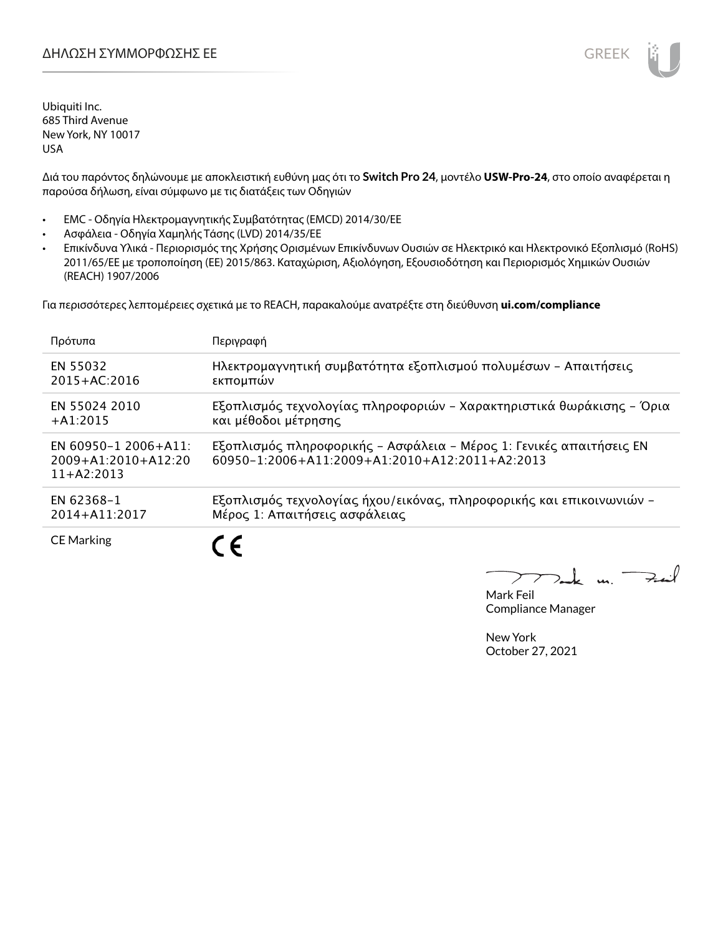

Διά του παρόντος δηλώνουμε με αποκλειστική ευθύνη μας ότι το **Switch Pro 24**, μοντέλο **USW-Pro-24**, στο οποίο αναφέρεται η παρούσα δήλωση, είναι σύμφωνο με τις διατάξεις των Οδηγιών

- EMC Οδηγία Ηλεκτρομαγνητικής Συμβατότητας (EMCD) 2014/30/ΕΕ
- Ασφάλεια Οδηγία Χαμηλής Τάσης (LVD) 2014/35/ΕΕ
- Επικίνδυνα Υλικά Περιορισμός της Χρήσης Ορισμένων Επικίνδυνων Ουσιών σε Ηλεκτρικό και Ηλεκτρονικό Εξοπλισμό (RoHS) 2011/65/ΕΕ με τροποποίηση (ΕΕ) 2015/863. Καταχώριση, Αξιολόγηση, Εξουσιοδότηση και Περιορισμός Χημικών Ουσιών (REACH) 1907/2006

Για περισσότερες λεπτομέρειες σχετικά με το REACH, παρακαλούμε ανατρέξτε στη διεύθυνση **ui.com/compliance**

| Πρότυπα                                                           | Περιγραφή                                                                                                             |
|-------------------------------------------------------------------|-----------------------------------------------------------------------------------------------------------------------|
| EN 55032                                                          | Ηλεκτρομαγνητική συμβατότητα εξοπλισμού πολυμέσων - Απαιτήσεις                                                        |
| $2015 + AC:2016$                                                  | εκπομπών                                                                                                              |
| EN 55024 2010                                                     | Εξοπλισμός τεχνολογίας πληροφοριών - Χαρακτηριστικά θωράκισης - Όρια                                                  |
| $+41:2015$                                                        | και μέθοδοι μέτρησης                                                                                                  |
| EN 60950-1 2006+A11:<br>$2009 + A1:2010 + A12:20$<br>$11+42:2013$ | Εξοπλισμός πληροφορικής - Ασφάλεια - Μέρος 1: Γενικές απαιτήσεις ΕΝ<br>60950-1:2006+A11:2009+A1:2010+A12:2011+A2:2013 |
| EN 62368-1                                                        | Εξοπλισμός τεχνολογίας ήχου/εικόνας, πληροφορικής και επικοινωνιών -                                                  |
| 2014+A11:2017                                                     | Μέρος 1: Απαιτήσεις ασφάλειας                                                                                         |
| <b>CE Marking</b>                                                 |                                                                                                                       |

 $\overline{u}$ . Fail

Mark Feil Compliance Manager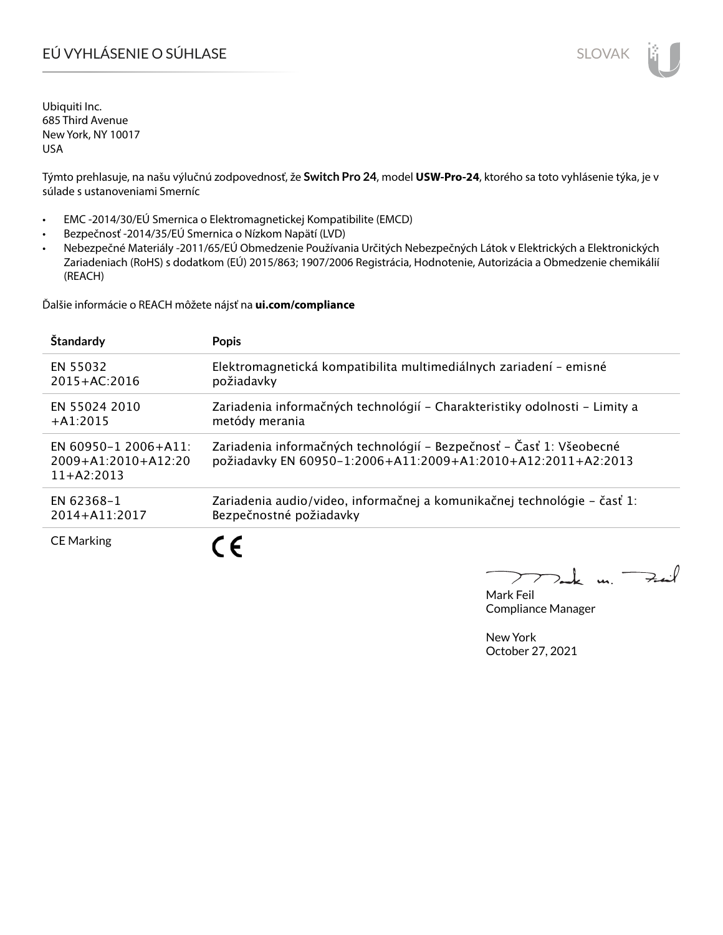# EÚ VYHLÁSENIE O SÚHLASE SLOVAK SLOVAK

Ubiquiti Inc. 685 Third Avenue New York, NY 10017 USA

Týmto prehlasuje, na našu výlučnú zodpovednosť, že **Switch Pro 24**, model **USW-Pro-24**, ktorého sa toto vyhlásenie týka, je v súlade s ustanoveniami Smerníc

- EMC -2014/30/EÚ Smernica o Elektromagnetickej Kompatibilite (EMCD)
- Bezpečnosť -2014/35/EÚ Smernica o Nízkom Napätí (LVD)
- Nebezpečné Materiály -2011/65/EÚ Obmedzenie Používania Určitých Nebezpečných Látok v Elektrických a Elektronických Zariadeniach (RoHS) s dodatkom (EÚ) 2015/863; 1907/2006 Registrácia, Hodnotenie, Autorizácia a Obmedzenie chemikálií (REACH)

Ďalšie informácie o REACH môžete nájsť na **ui.com/compliance**

| Štandardy                                                     | <b>Popis</b>                                                                                                                         |
|---------------------------------------------------------------|--------------------------------------------------------------------------------------------------------------------------------------|
| EN 55032                                                      | Elektromagnetická kompatibilita multimediálnych zariadení - emisné                                                                   |
| $2015 + AC:2016$                                              | požiadavky                                                                                                                           |
| EN 55024 2010                                                 | Zariadenia informačných technológií – Charakteristiky odolnosti – Limity a                                                           |
| $+A1:2015$                                                    | metódy merania                                                                                                                       |
| EN 60950-1 2006+A11:<br>$2009+A1:2010+A12:20$<br>$11+AA:2013$ | Zariadenia informačných technológií – Bezpečnosť – Časť 1: Všeobecné<br>požiadavky EN 60950-1:2006+A11:2009+A1:2010+A12:2011+A2:2013 |
| EN 62368-1                                                    | Zariadenia audio/video, informačnej a komunikačnej technológie - časť 1:                                                             |
| 2014+A11:2017                                                 | Bezpečnostné požiadavky                                                                                                              |
| <b>CE Marking</b>                                             |                                                                                                                                      |

 $u_{1}$   $\rightarrow$ 

Mark Feil Compliance Manager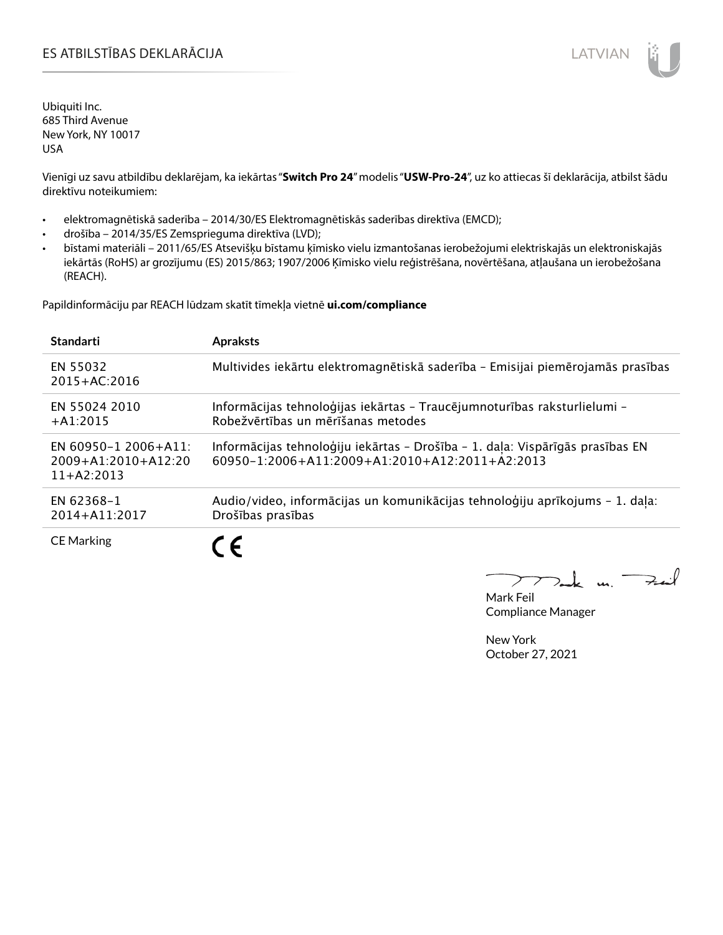# ES ATBILSTĪBAS DEKLARĀCIJA LATVIAN

Ubiquiti Inc. 685 Third Avenue New York, NY 10017 USA

Vienīgi uz savu atbildību deklarējam, ka iekārtas "**Switch Pro 24**" modelis "**USW-Pro-24**", uz ko attiecas šī deklarācija, atbilst šādu direktīvu noteikumiem:

- elektromagnētiskā saderība 2014/30/ES Elektromagnētiskās saderības direktīva (EMCD);
- drošība 2014/35/ES Zemsprieguma direktīva (LVD);
- bīstami materiāli 2011/65/ES Atsevišķu bīstamu ķīmisko vielu izmantošanas ierobežojumi elektriskajās un elektroniskajās iekārtās (RoHS) ar grozījumu (ES) 2015/863; 1907/2006 Ķīmisko vielu reģistrēšana, novērtēšana, atļaušana un ierobežošana (REACH).

Papildinformāciju par REACH lūdzam skatīt tīmekļa vietnē **ui.com/compliance**

| <b>Standarti</b>                                                  | <b>Apraksts</b>                                                                                                                 |
|-------------------------------------------------------------------|---------------------------------------------------------------------------------------------------------------------------------|
| EN 55032<br>$2015 + AC:2016$                                      | Multivides iekārtu elektromagnētiskā saderība - Emisijai piemērojamās prasības                                                  |
| EN 55024 2010<br>$+A1:2015$                                       | Informācijas tehnoloģijas iekārtas - Traucējumnoturības raksturlielumi -<br>Robežvērtības un mērīšanas metodes                  |
| EN 60950-1 2006+A11:<br>$2009 + A1:2010 + A12:20$<br>$11+42:2013$ | Informācijas tehnoloģiju iekārtas - Drošība - 1. daļa: Vispārīgās prasības EN<br>60950-1:2006+A11:2009+A1:2010+A12:2011+A2:2013 |
| EN 62368-1<br>$2014 + A11:2017$                                   | Audio/video, informācijas un komunikācijas tehnoloģiju aprīkojums - 1. daļa:<br>Drošības prasības                               |
| <b>CE Marking</b>                                                 |                                                                                                                                 |

m. Fail

Mark Feil Compliance Manager